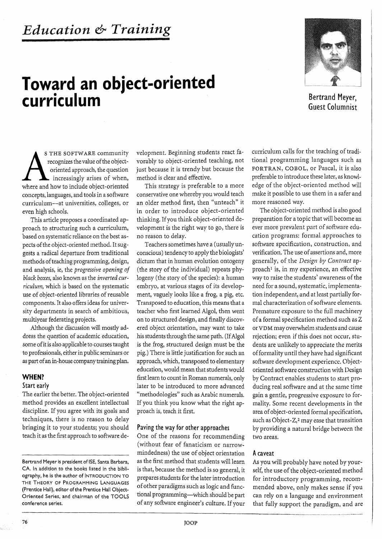# **Toward an object-oriented curriculum .**



**Bertrand Meyer, Guest Columnist** 

S THE SOFTWARE community<br>recognizes the value of the object-<br>oriented approach, the question<br>increasingly arises of when,<br>where and how to include object-oriented recognizes the value of the objectoriented approach, the question increasingly arises of when, concepts, languages, and tools in a software curriculum-at universities, colleges, or even high schools.

This article proposes a coordinated approach to structuring such a curriculum, based on systematic reliance on the best aspects of the object-oriented method. It suggests a radical departure from traditional methods of teaching programming, design, and analysis, ie, the *progressive opening of black boxes,* also known as the *inverted curriculum,* which is based on the systematic use of object-oriented libraries of reusable components. It also offers ideas for university departments in search of ambitious, multiyear federating projects.

Although the discussion will mostly address the question of academic education, some of it is also applicable to courses taught to professionals, either in public seminars or as part of an in-house company training plan.

# **WHEN?**

#### **Start early**

The earlier the better. The object-oriented method provides an excellent intellectual discipline. If you agree with its goals and techniques, there is no reason to delay bringing it to your students; you should teach it as the first approach to software de-

velopment. Beginning students react favorably to object-oriented teaching, not just because it is trendy but because the method is clear and effective.

This strategy is preferable to a more conservative one whereby you would teach an older method first, then "unteach" it in order to introduce object-oriented thinking. If you think object-oriented development is the right way to go, there is no reason to delay.

Teachers sometimes have a (usually unconscious) tendency to apply the biologists' dictum that in human evolution ontogeny (the story of the individual) repeats phylogeny (the story of the species): a human embryo, at various stages of its development, vaguely looks like a frog, a pig, etc. Transposed to education, this means that a teacher who first learned Algol, then went on to structured design, and finally discovered object orientation, may want to take his students through the same path. (If Algol is the frog, structured design must be the pig.) There is little justification for such an approach, which, transposed to elementary education, would mean that students would first learn to count in Roman munerals, only later to be introduced to more advanced "methodologies" such as Arabic numerals. If you think you know what the right approach is, teach it first.

#### **Paving the way for other approaches**

One of the reasons for recommending (without fear of fanaticism or narrowmindedness) the use of object orientation as the first method that students will learn is that, because the method is so general, it prepares students for the later introduction of other paradigms such as logic and functional programming-which should be part of any software engineer's culture. If your

curriculum calls for the teaching of traditional programming languages such as FORTRAN, COBOL, or Pascal, it is also preferable to introduce these later, as knowledge of the object-oriented method will make it possible to use them in a safer and more reasoned way.

The object-oriented method is also good preparation for a topic that will become an ever more prevalent part of software education programs: formal approaches to software specification, construction, and verification. The use of assertions and, more generally, of the *Design by Contract* approach<sup>1</sup> is, in my experience, an effective way to raise the students' awareness of the need for a sound, systematic, implementation independent, and at least partially formal characterization of software elements. Premature exposure to the full machinery of a formal specification method such as Z or VDM may overwhelm students and cause rejection; even if this does not occur, students are unlikely to appreciate the merits of formality until they have had significant software development experience. Objectoriented software construction with Design by Contract enables students to start producing real software and at the same time gain a gentle, progressive exposure to formality. Some recent developments in the area of object-oriented formal specification, such as Object- $Z<sub>2</sub>$ <sup>2</sup> may ease that transition by providing a natural bridge between the two areas.

#### **A caveat**

As you will probably have noted by yourself, the use of the object-oriented method for introductory programming, recommended above, only makes sense if you can rely on a language and environment conference series. of any software engineer's culture. If your that fully support the paradigm, and are

Bertrand Meyer is president of ISE, Santa Barbara, CA. In addition to the books listed in the bibliography, he is the author of INTRODUCTION TO THE THEORY OF PROGRAMMING LANGUAGES (Prentice Hall), editor of the Prentice Hall Object-Oriented Series, and chairman of the TOOLS conference series.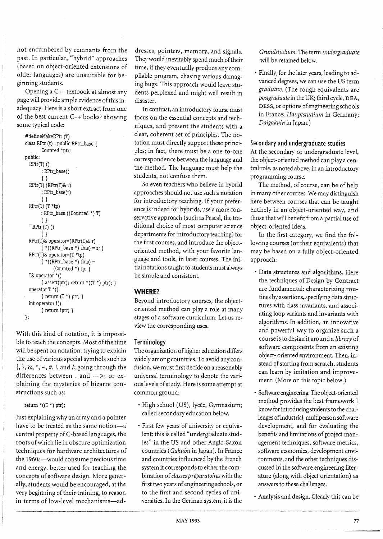not encumbered by remnants from the past. In particular, "hybrid" approaches (based on object-oriented extensions of older languages) are unsuitable for beginning students.

Opening a C++ textbook at almost any page will provide ample evidence of this inadequacy. Here is a short extract from one of the best current  $C_{++}$  books<sup>3</sup> showing some typical code:

```
#defineMakeRPtr (T) 
class RPtr (t) : public RPtr_base { 
        Counted *ptr; 
public: 
\cdotRPr(T) ()
        : RPtr_base()
        { } 
 RPtr(T) (RPtr(T)& r) 
        : RPtr_base(r) 
        { } 
 RPtr(T) (T *tp) 
        : RPtr_base ((Counted *) T)
        { } 
  \tilde{R}Ptr (T) ()
        { } 
 RPtr(T)& operator=(RPtr(T)& r) 
        {\ast}^{\star} ((RPtr_base *) this) = r; }
 RPtr(T)& operator=(T *tp) 
        ({*(RPut\_base *}) this) =(Counted *) tp; } 
 T& operator *()
        { assert(ptr); return *(T^*) ptr); }
 operator T^*({ return (T *) ptr; } 
 int operator!(){ return !ptr; }
```
With this kind of notation, it is impossible to teach the concepts. Most of the time will be spent on notation: trying to explain the use of various special symbols such as {, }, &, \*, -, #, !, and *I;* going through the differences between . and  $\implies$ ; or explaining the mysteries of bizarre constructions such as:

return  $*(T^*)$  ptr);

Just explaining why an array and a pointer have to be treated as the same notion-a central property of C-based languages, the roots of which lie in obscure optimization techniques for hardware architectures of the 1960s-would consume precious time and energy, better used for teaching the concepts of software design. More generally, students would be encouraged, at the very beginning of their training, to reason in terms of low-level mechanisms-addresses, pointers, memory, and signals. They would inevitably spend much of their time, if they eventually produce any compilable program, chasing various damaging bugs. This approach would leave students perplexed and might well result in disaster.

In contrast, an introductory course must focus on the essential concepts and techniques, and present the students with a clear, coherent set of principles. The notation must directly support these principles; in fact, there must be a one-to-one correspondence between the language and the method. The language must help the students, not confuse them.

So even teachers who believe in hybrid approaches should not use such a notation for introductory teaching. If your preference is indeed for hybrids, use a more conservative approach (such as Pascal, the traditional choice of most computer science departments for introductory teaching) for the first courses, and introduce the objectoriented method, with your favorite language and tools, in later courses. The initial notations taught to students must always be simple and consistent.

# **WHERE?**

Beyond introductory courses, the objectoriented method can playa role at many stages of a software curriculum. Let us review the corresponding uses.

# **Terminology**

The organization of higher education differs widely among countries. To avoid any confusion, we must first decide on a reasonably universal terminology to denote the various levels of study. Here is some attempt at common ground:

- High school (US), lycée, Gymnasium; called secondary education below.
- First few years of university or equivalent: this is called "undergraduate studies" in the US and other Anglo-Saxon countries *(Gakubu* in Japan). In France and countries influenced by the French system it corresponds to either the combination of *classes preparatoireswith* the first two years of engineering schools, or to the first and second cycles of universities. In the German system, it is the

*Grundstudium.* The term *undergraduate*  will be retained below.

• Finally, for the later years, leading to advanced degrees, we can use the US term *graduate.* (The rough equivalents are *postgraduate* in the UK; third cycle, DEA, DESS, or options of engineering schools in France; *Hauptstudium* in Germany; *Daigakuin* in Japan.)

# **Secondary and undergraduate studies**

At the secondary or undergraduate level, the object-oriented method can playa central role, as noted above, in an introductory programming course.

The method, of course, can be of help in many other courses. We may distinguish here between courses that can be taught entirely in an object-oriented way, and those that will benefit from a partial use of object-oriented ideas.

In the first category, we find the following courses (or their equivalents) that may be based on a fully object-oriented approach:

- Data structures and algorithms. Here the techniques of Design by Contract are fundamental: characterizing routines by assertions, specifying data structures with class invariants, and associating loop variants and invariants with algorithms. In addition, an innovative and powerful way to organize such a course is to design it around a *library* of software components from an existing object- oriented environment. Then, instead of starting from scratch, students can learn by imitation and improvement. (More on this topic below.)
- Software engineering. The object-oriented method provides the best framework I know for introducing students to the challenges of industrial, multiperson software development, and for evaluating the benefits and limitations of project management techniques, software metrics, software economics, development environments) and the other techniques discussed in the software engineering literature (along with object orientation) as answers to these challenges.
- Analysis and design. Clearly this can be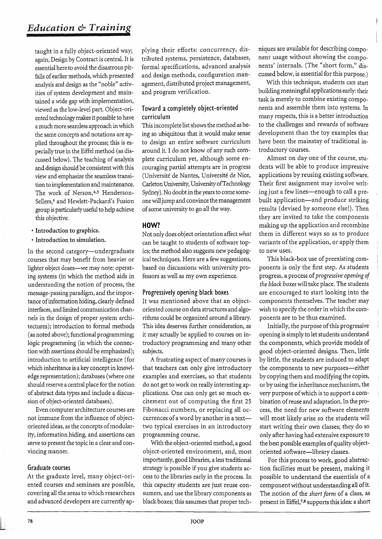taught in a fully object-oriented way; again, Design by Contract is central. It is essential here to avoid the disastrous pitfalls of earlier methods, which presented analysis and design as the "noble" activities of system development and maintained a wide gap with implementation, viewed as the low-level part. Object-oriented technology makes it possible to have a much more seamless approach in which the same concepts and notations are applied throughout the process; this is especially true in the Eifid method (as discussed below). The teaching of analysis and design should be consistent with this view and emphasize the seamless transition to implementation and maintenance. The work of Nerson,4,5 Henderson-Sellers,<sup>6</sup> and Hewlett-Packard's Fusion group is particularly useful to help achieve this objective.

- Introduction to graphics.
- Introduction to simulation.

In the second category-undergraduate courses that may benefit from heavier or lighter object doses-we may note: operating systems (in which the method aids in understanding the notion of process, the message-passing paradigm, and the importance of information hiding, clearly defined interfaces, and limited communication channels in the design of proper system architectures); introduction to formal methods (as noted above); functional programming; logic programming (in which the connection with assertions should be emphasized); introduction to artificial intelligence (for which inheritance is a key concept in knowledge representation); databases (where one should reserve a central place for the notion of abstract data types and include a discussion of object-oriented databases).

Even computer architecture courses are not immune from the influence of objectoriented ideas, as the concepts of modularity, information hiding, and assertions can serve to present the topic in a clear and convincing manner.

#### Graduate courses

At the graduate level, manyobject-oriented courses and seminars are possible, covering all the areas to which researchers and advanced developers are currently applying their efforts: concurrency, distributed systems, persistence, databases, formal specifications, advanced analysis and design methods, configuration management, distributed project management, and program verification.

# Toward a completely object-oriented curriculum

This incomplete list shows the method as being so ubiquitous that it would make sense to design an entire software curriculum around it. I do not know of any such complete curriculum yet, although some encouraging partial attempts are in progress (Universite de Nantes, Universite de Nice, Carleton University, University of Technology Sydney). No doubt in the years to come someone will jump and convince the management of some university to go all the way.

#### **HOW?**

Not only does object orientation affect *what*  can be taught to students of software topics; the method also suggests new pedagogical techniques. Here are a few suggestions, based on discussions with university professors as well as my own experience.

#### Progressively opening black boxes

It was mentioned above that an objectoriented course on data structures and algorithms could be organized around a library. This idea deserves further consideration, as it may actually be applied to courses on introductory programming and many other subjects.

A frustrating aspect of many courses is that teachers can only give introductory examples and exercises, so that students do not get to work on really interesting applications. One can only get so much excitement out of computing the first 25 Fibonacci numbers, or replacing all occurrences of a word by another in a texttwo typical exercises in an introductory programming course.

With the object-oriented method, a good object-oriented environment, and, most importantly, good libraries, a less traditional strategy is possible if you give students access to the libraries early in the process. In this capacity students are just reuse consumers, and use the library components as black boxes; this assumes that proper techniques are available for describing component usage without showing the components' internals. (The "short form," discussed below, is essential for this purpose.)

With this technique, students can start building meaningful applications early: their task is merely to combine existing components and assemble them into systems. In many respects, this is a better introduction to the challenges and rewards of software development than the toy examples that have been the mainstay of traditional introductory courses.

Almost on day one of the course, students will be able to produce impressive applications by reusing existing software. Their first assignment may involve writing just a few lines-enough to call a prebuilt application-and produce striking results (devised by someone else!). Then they are invited to take the components making up the application and recombine them in different ways so as to produce variants of the application, or apply them to new uses.

This black-box use of preexisting components is only the first step. As students progress, a process of *progressive opening of the black boxes* will take place. The students are encouraged to start looking into the components themselves. The teacher may wish to specify the order in which the components are to be thus examined.

Initially, the purpose of this progressive opening is simply to let students understand the components, which provide models of good object-oriented designs. Then, little by little, the students are induced to adapt the components to new purposes-either by copying them and modifying the copies, or by using the inheritance mechanism, the very purpose of which is to support a combination of reuse and adaptation. In the process, the need for new software elements will most likely arise so the students will start writing their own classes; they do so only after having had extensive exposure to the best possible examples of quality objectoriented software-library classes.

For this process to work, good abstraction facilities must be present, making it possible to understand the essentials of a component without understanding all of it. The notion of the *short form* of a class, as present in Eiffel,7,8 supports this idea: a short

roop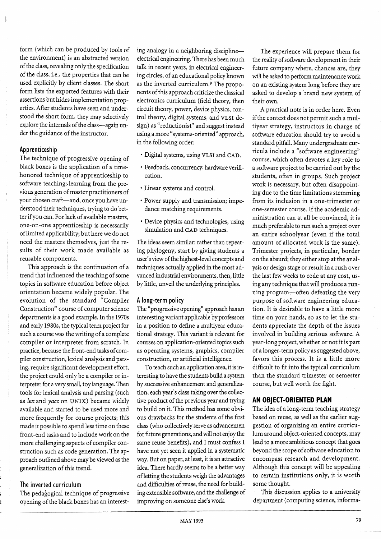form (which can be produced by tools of the environment) is an abstracted version of the class, revealing only the specification of the class, i.e., the properties that can be used explicitly by client classes. The short form lists the exported features with their assertions but hides implementation properties. After students have seen and understood the short form, they may selectively explore the internals of the class-again under the guidance of the instructor.

#### **Apprenticeship**

The technique of progressive opening of black boxes is the application of a timehonored technique of apprenticeship to software teaching:.learning from the previous generation of master practitioners of your chosen craft-and, once you have understood their techniques, trying to do better if you can. For lack of available masters, one-on-one apprenticeship is necessarily oflimited applicability; but here we do not need the masters themselves, just the results of their work made available as reusable components.

This approach is the continuation of a trend that influenced the teaching of some topics in software education before object orientation became widely popular. The evolution of the standard "Compiler Construction" course of computer science departments is a good example. In the 1970s and early 1980s, the typical term project for such a course was the writing of a complete compiler or interpreter from scratch. In practice, because the front-end tasks of compiler construction, lexical analysis and parsing, require significant development effort, the project could only be a compiler or interpreter for a very small, toy language. Then tools for lexical analysis and parsing (such as *lex* and *yacc* on UNIX) became widely available and started to be used more and more frequently for course projects; this made it possible to spend less time on these front-end tasks and to include work on the more challenging aspects of compiler construction such as code generation. The approach outlined above may be viewed as the generalization of this trend.

#### **The inverted curriculum**

The pedagogical technique of progressive opening of the black boxes has an interesting analogy in a neighboring disciplineelectrical engineering. There has been much talk in recent years, in electrical engineering circles, of an educational policy known as the inverted curriculum. 9 The proponents of this approach criticize the classical electronics curriculum (field theory, then circuit theory, power, device physics, control theory, digital systems, and VLSI design) as "reductionist" and suggest instead using a more "systems-oriented" approach, in the following order:

- Digital systems, using VLSI and CAD.
- Feedback, concurrency, hardware verification.
- Linear systems and control.
- Power supply and transmission; impedance matching requirements.
- Device physics and technologies, using simulation and CAD techniques.

The ideas seem similar: rather than repeating phylogeny, start by giving students a user's view of the highest-level concepts and techniques actually applied in the most advanced industrial environments, then, little by little, unveil the underlying principles.

#### **A long-term policy**

The "progressive opening" approach has an interesting variant applicable by professors in a position to define a multiyear educational strategy. This variant is relevant for courses on application-oriented topics such as operating systems, graphics, compiler construction, or artificial intelligence.

To teach such an application area, it is interesting to have the students build a system by successive enhancement and generalization, each year's class taking over the collective product of the previous year and trying to build on it. This method has some obvious drawbacks for the students of the first class (who collectively serve as advancemen for future generations, and will not enjoy the same reuse benefits), and I must confess I have not yet seen it applied in a systematic way. But on paper, at least, it is an attractive idea. There hardly seems to be a better way ofletting the students weigh the advantages and difficulties of reuse, the need for building extensible software, and the challenge of improving on someone else's work.

The experience will prepare them for the reality of software development in their future company where, chances are, they will be asked to perform maintenance work on an existing system long before they are asked to develop a brand new system of their own.

A practical note is in order here. Even if the context does not permit such a multiyear strategy, instructors in charge of software education should try to avoid a standard pitfall. Many undergraduate curricula include a "software engineering" course, which often devotes a key role to a software project to be carried out by the students, often in groups. Such project work is necessary, but often disappointing due to the time limitations stemming from its inclusion in a one-trimester or one-semester course. If the academic administration can at all be convinced, it is much preferable to run such a project over an entire schoolyear (even if the total amount of allocated work is the same). Trimester projects, in particular, border on the absurd; they either stop at the analysis or design stage or result in a rush over the last few weeks to code at any cost, using any technique that will produce a running program--often defeating the very purpose of software engineering education. It is desirable to have a little more time on your hands, so as to let the students appreciate the depth of the issues involved in building serious software. A year-long project, whether or not it is part of a longer-term policy as suggested above, favors this process. It is a little more difficult to fit into the typical curriculum than the standard trimester or semester course, but well worth the fight.

## **AN OBJECT-ORIENTED PLAN**

The idea of a long-term teaching strategy based on reuse, as well as the earlier suggestion of organizing an entire curriculum around object-oriented concepts, may lead to a more ambitious concept that goes beyond the scope of software education to encompass research and development. Although this concept will be appealing to certain institutions only, it is worth some thought.

This discussion applies to a university department (computing science, informa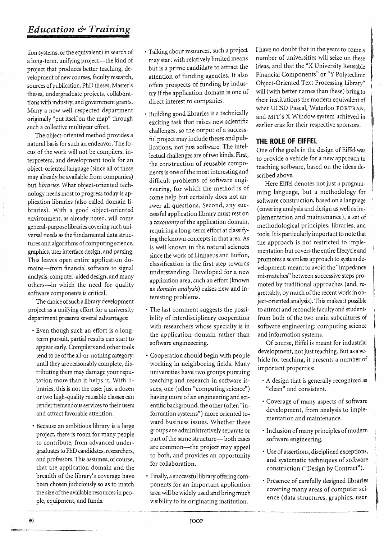tion systems, or the equivalent) in search of a long-term, unifying project-the kind of project that produces better teaching, development of new courses, faculty research, sources of publication, PhD theses, Master's theses, undergraduate projects, collaborations with industry, and government grants. Many a now well-respected department originally "put itself on the map" through such a collective multiyear effort.

The object-oriented method provides a natural basis for such an endeavor. The focus of the work will not be compilers, interpreters, and development tools for an object-oriented language (since all of these may already be available from companies) but *libraries.* What object-oriented technology needs most to progress today is application libraries (also called domain libraries). With a good object-oriented environment, as already noted, will come general-purpose libraries covering such universal needs as the fundamental data structures and algorithms of computing science, graphics, user interface design, and parsing. This leaves open entire application domains-from financial software to signal analysis, computer-aided design, and many others-in which the need for quality software components is critical.

The choice of such a library development project as a unifying effort for a university department presents several advantages:

- Even though such an effort is a longterm pursuit, partial results can start to appear early. Compilers and other tools tend to be of the all-or-nothing category: until they are reasonably complete, distributing them may damage your reputation more than it helps it. With libraries, this is not the case: just a dozen or two high-quality reusable classes can render tremendous services to their users and attract favorable attention.
- Because an ambitious library is a large project, there is room for many people to contribute, from advanced undergraduates to PhD candidates, researchers, and professors. This assumes, of course, that the application domain and the breadth of the library's coverage have been chosen judiciously so as to match the size of the available resources in people, equipment, and funds.
- Talking about resources, such a project may start with relatively limited means but is a prime candidate to attract the attention of funding agencies. It also offers prospects of funding by industry if the application domain is one of direct interest to companies.
- Building good libraries is a technically exciting task that raises new scientific challenges, so the output of a successful project may include theses and publications, not just software. The intellectual challenges are of two kinds. First, the construction of reusable components is one of the most interesting and difficult problems of software engineering, for which the method is of some help but certainly does not answer all questions. Second, any successful application library must rest on a *taxonomy* of the application domain, requiring a long-term effort at classifying the known concepts in that area. As is well known in the natural sciences since the work of Linnaeus and Buffon, classification is the first step towards understanding. Developed for a new application area, such an effort (known as *domain analysis)* raises new and interesting problems.
- The last comment suggests the possibility of interdisciplinary cooperation with researchers whose specialty is in the application domain rather than software engineeering.
- Cooperation should begin with people working in neighboring fields. Many universities have two groups pursuing teaching and research in software issues, one (often "computing science") having more of an engineering and scientific background, the other (often «information systems") more oriented toward business issues. Whether these groups are administratively separate or part of the same structure- both cases are common-the project may appeal to both, and provides an opportunity for collaboration.
- Finally, a successful library offering components for an important application area will be widely used and bring much visibility to its originating institution.

I have no doubt that in the years to come a number of universities will seize on these ideas, and that the "X University Reusable Financial Components" or "Y Polytechnic Object-Oriented Text Processing Library" will (with better names than these) bring to their institutions the modern equivalent of what UCSD Pascal, Waterloo FORTRAN, and MIT's X Window system achieved in earlier eras for their respective sponsors.

# **THE ROLE OF EIFFEL**

One of the goals in the design of Eiffe1 was to provide a vehicle for a new approach to teaching software, based on the ideas described above.

Here Eiffel denotes not just a programming language, but a methodology for software construction, based on a language (covering analysis and design as well as implementation and maintenance), a set of methodological principles, libraries, and tools. It is particularly important to note that the approach is not restricted to implementation but covers the entire lifecycle and promotes a seamless approach to system development, meant to avoid the "impedance mismatches" between successive steps promoted by traditional approaches (and, regrettably, by much of the recent work in object-oriented analysis). This makes it possible to attract and reconcile faculty and students from both of the two main subcultures of software engineering: computing science and information systems.

Of course, Eiffel is meant for industrial development, not just teaching. But as a vehicle for teaching, it presents a number of important properties:

- A design that is generally recognized as «clean" and consistent.
- Coverage of many aspects of software development, from analysis to implementation and maintenance.
- Inclusion of many principles of modern software engineering.
- Use of assertions, disciplined exceptions, and systematic techniques of software construction ("Design by Contract").
- Presence of carefully designed libraries covering many areas of computer science (data structures, graphics, user